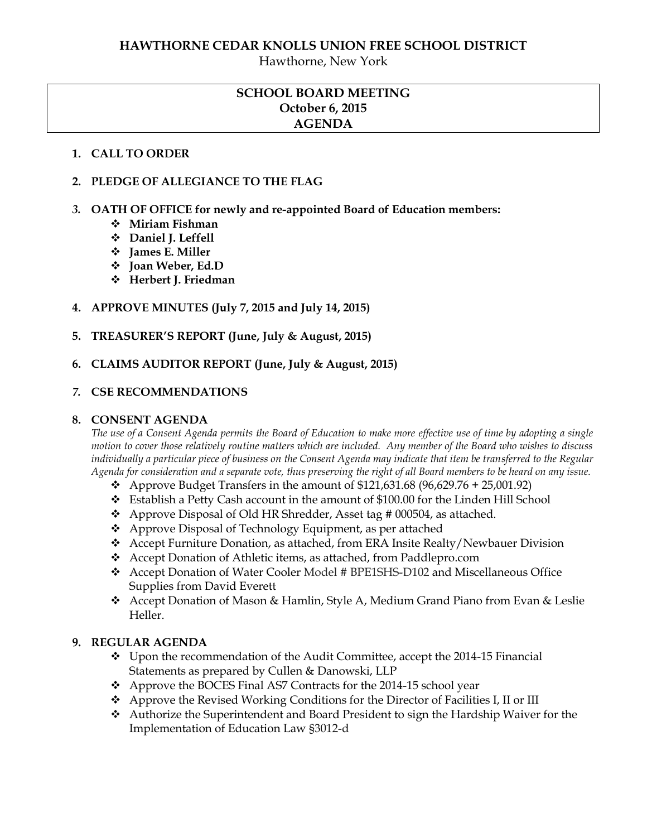Hawthorne, New York

# **SCHOOL BOARD MEETING October 6, 2015 AGENDA**

#### **1. CALL TO ORDER**

#### **2. PLEDGE OF ALLEGIANCE TO THE FLAG**

- *3.* **OATH OF OFFICE for newly and re-appointed Board of Education members:**
	- **Miriam Fishman**
	- **Daniel J. Leffell**
	- **James E. Miller**
	- **Joan Weber, Ed.D**
	- **Herbert J. Friedman**
- **4. APPROVE MINUTES (July 7, 2015 and July 14, 2015)**
- **5. TREASURER'S REPORT (June, July & August, 2015)**
- **6. CLAIMS AUDITOR REPORT (June, July & August, 2015)**

#### *7.* **CSE RECOMMENDATIONS**

#### **8. CONSENT AGENDA**

*The use of a Consent Agenda permits the Board of Education to make more effective use of time by adopting a single motion to cover those relatively routine matters which are included. Any member of the Board who wishes to discuss individually a particular piece of business on the Consent Agenda may indicate that item be transferred to the Regular Agenda for consideration and a separate vote, thus preserving the right of all Board members to be heard on any issue.* 

- Approve Budget Transfers in the amount of  $$121,631.68 (96,629.76 + 25,001.92)$
- Establish a Petty Cash account in the amount of \$100.00 for the Linden Hill School
- Approve Disposal of Old HR Shredder, Asset tag # 000504, as attached.
- Approve Disposal of Technology Equipment, as per attached
- Accept Furniture Donation, as attached, from ERA Insite Realty/Newbauer Division
- Accept Donation of Athletic items, as attached, from Paddlepro.com
- Accept Donation of Water Cooler Model # BPE1SHS-D102 and Miscellaneous Office Supplies from David Everett
- Accept Donation of Mason & Hamlin, Style A, Medium Grand Piano from Evan & Leslie Heller.

#### **9. REGULAR AGENDA**

- Upon the recommendation of the Audit Committee, accept the 2014-15 Financial Statements as prepared by Cullen & Danowski, LLP
- Approve the BOCES Final AS7 Contracts for the 2014-15 school year
- Approve the Revised Working Conditions for the Director of Facilities I, II or III
- Authorize the Superintendent and Board President to sign the Hardship Waiver for the Implementation of Education Law §3012-d